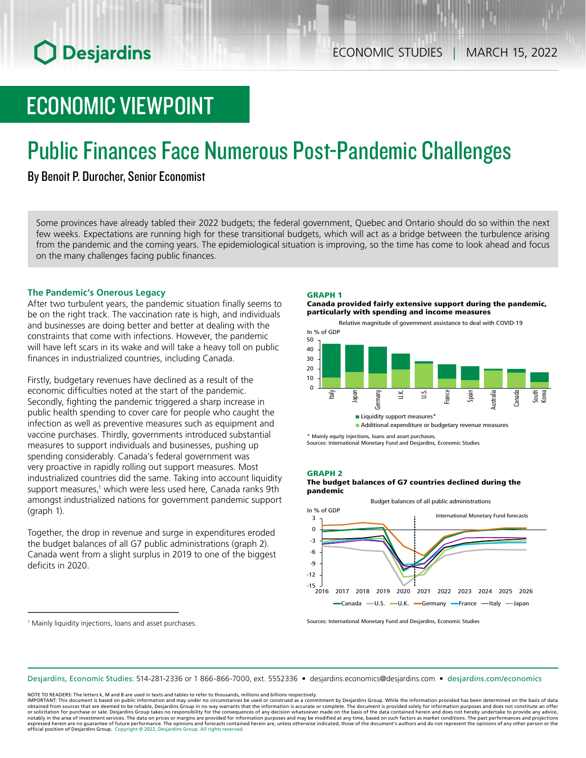# ECONOMIC VIEWPOINT

# Public Finances Face Numerous Post-Pandemic Challenges

# By Benoit P. Durocher, Senior Economist

Some provinces have already tabled their 2022 budgets; the federal government, Quebec and Ontario should do so within the next few weeks. Expectations are running high for these transitional budgets, which will act as a bridge between the turbulence arising from the pandemic and the coming years. The epidemiological situation is improving, so the time has come to look ahead and focus on the many challenges facing public finances.

### **The Pandemic's Onerous Legacy**

After two turbulent years, the pandemic situation finally seems to be on the right track. The vaccination rate is high, and individuals and businesses are doing better and better at dealing with the constraints that come with infections. However, the pandemic will have left scars in its wake and will take a heavy toll on public finances in industrialized countries, including Canada.

Firstly, budgetary revenues have declined as a result of the economic difficulties noted at the start of the pandemic. Secondly, fighting the pandemic triggered a sharp increase in public health spending to cover care for people who caught the infection as well as preventive measures such as equipment and vaccine purchases. Thirdly, governments introduced substantial measures to support individuals and businesses, pushing up spending considerably. Canada's federal government was very proactive in rapidly rolling out support measures. Most industrialized countries did the same. Taking into account liquidity support measures,<sup>1</sup> which were less used here, Canada ranks 9th amongst industrialized nations for government pandemic support (graph 1).

Together, the drop in revenue and surge in expenditures eroded the budget balances of all G7 public administrations (graph 2). Canada went from a slight surplus in 2019 to one of the biggest deficits in 2020.

#### GRAPH 1

Canada provided fairly extensive support during the pandemic, particularly with spending and income measures



\* Mainly equity injections, loans and asset purchases. Sources: International Monetary Fund and Desjardins, Economic Studies

#### GRAPH 2

The budget balances of G7 countries declined during the pandemic



Sources: International Monetary Fund and Desjardins, Economic Studies

Desjardins, Economic Studies: 514‑281‑2336 or 1 866‑866‑7000, ext. 5552336 • desjardins.economics@desjardins.com • [desjardins.com/economics](http://desjardins.com/economics)

NOTE TO READERS: The letters k, M and B are used in texts and tables to refer to thousands, millions and billions respectively.

IMPORTANT: This document is based on public information and may under no circumstances be used or construed as a commitment by Desjardins Group. While the information provided has been determined on the basis of data<br>obtai notably in the area of investment services. The data on prices or margins are provided for information purposes and may be modified at any time, based on such factors as market conditions. The past performances and project expressed herein are no guarantee of future performance. The opinions and forecasts contained herein are, unless otherwise indicated, those of the document's authors and do not represent the opinions of any other person or

<sup>1</sup> Mainly liquidity injections, loans and asset purchases.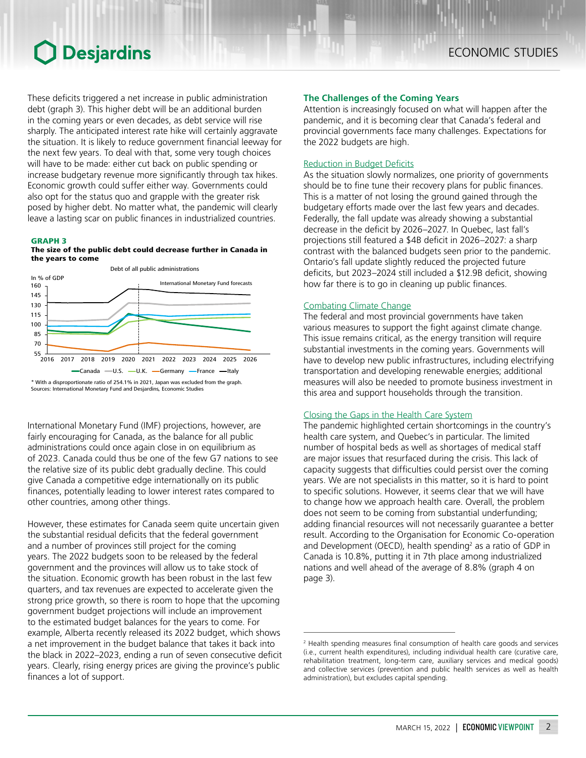# **O** Desjardins

Attention is increasingly focused on what will happen after the pandemic, and it is becoming clear that Canada's federal and provincial governments face many challenges. Expectations for the 2022 budgets are high.

## Reduction in Budget Deficits

As the situation slowly normalizes, one priority of governments should be to fine tune their recovery plans for public finances. This is a matter of not losing the ground gained through the budgetary efforts made over the last few years and decades. Federally, the fall update was already showing a substantial decrease in the deficit by 2026–2027. In Quebec, last fall's projections still featured a \$4B deficit in 2026–2027: a sharp contrast with the balanced budgets seen prior to the pandemic. Ontario's fall update slightly reduced the projected future deficits, but 2023–2024 still included a \$12.9B deficit, showing how far there is to go in cleaning up public finances.

### Combating Climate Change

The federal and most provincial governments have taken various measures to support the fight against climate change. This issue remains critical, as the energy transition will require substantial investments in the coming years. Governments will have to develop new public infrastructures, including electrifying transportation and developing renewable energies; additional measures will also be needed to promote business investment in this area and support households through the transition.

### Closing the Gaps in the Health Care System

The pandemic highlighted certain shortcomings in the country's health care system, and Quebec's in particular. The limited number of hospital beds as well as shortages of medical staff are major issues that resurfaced during the crisis. This lack of capacity suggests that difficulties could persist over the coming years. We are not specialists in this matter, so it is hard to point to specific solutions. However, it seems clear that we will have to change how we approach health care. Overall, the problem does not seem to be coming from substantial underfunding; adding financial resources will not necessarily guarantee a better result. According to the Organisation for Economic Co-operation and Development (OECD), health spending<sup>2</sup> as a ratio of GDP in Canada is 10.8%, putting it in 7th place among industrialized nations and well ahead of the average of 8.8% (graph 4 on page 3).

These deficits triggered a net increase in public administration debt (graph 3). This higher debt will be an additional burden in the coming years or even decades, as debt service will rise sharply. The anticipated interest rate hike will certainly aggravate the situation. It is likely to reduce government financial leeway for the next few years. To deal with that, some very tough choices will have to be made: either cut back on public spending or increase budgetary revenue more significantly through tax hikes. Economic growth could suffer either way. Governments could also opt for the status quo and grapple with the greater risk posed by higher debt. No matter what, the pandemic will clearly leave a lasting scar on public finances in industrialized countries.

#### GRAPH 3

#### The size of the public debt could decrease further in Canada in the years to come



\* With a disproportionate ratio of 254.1% in 2021, Japan was excluded from the graph. Sources: International Monetary Fund and Desjardins, Economic Studies

International Monetary Fund (IMF) projections, however, are fairly encouraging for Canada, as the balance for all public administrations could once again close in on equilibrium as of 2023. Canada could thus be one of the few G7 nations to see the relative size of its public debt gradually decline. This could give Canada a competitive edge internationally on its public finances, potentially leading to lower interest rates compared to other countries, among other things.

However, these estimates for Canada seem quite uncertain given the substantial residual deficits that the federal government and a number of provinces still project for the coming years. The 2022 budgets soon to be released by the federal government and the provinces will allow us to take stock of the situation. Economic growth has been robust in the last few quarters, and tax revenues are expected to accelerate given the strong price growth, so there is room to hope that the upcoming government budget projections will include an improvement to the estimated budget balances for the years to come. For example, Alberta recently released its 2022 budget, which shows a net improvement in the budget balance that takes it back into the black in 2022–2023, ending a run of seven consecutive deficit years. Clearly, rising energy prices are giving the province's public finances a lot of support.

<sup>2</sup> Health spending measures final consumption of health care goods and services (i.e., current health expenditures), including individual health care (curative care, rehabilitation treatment, long-term care, auxiliary services and medical goods) and collective services (prevention and public health services as well as health administration), but excludes capital spending.